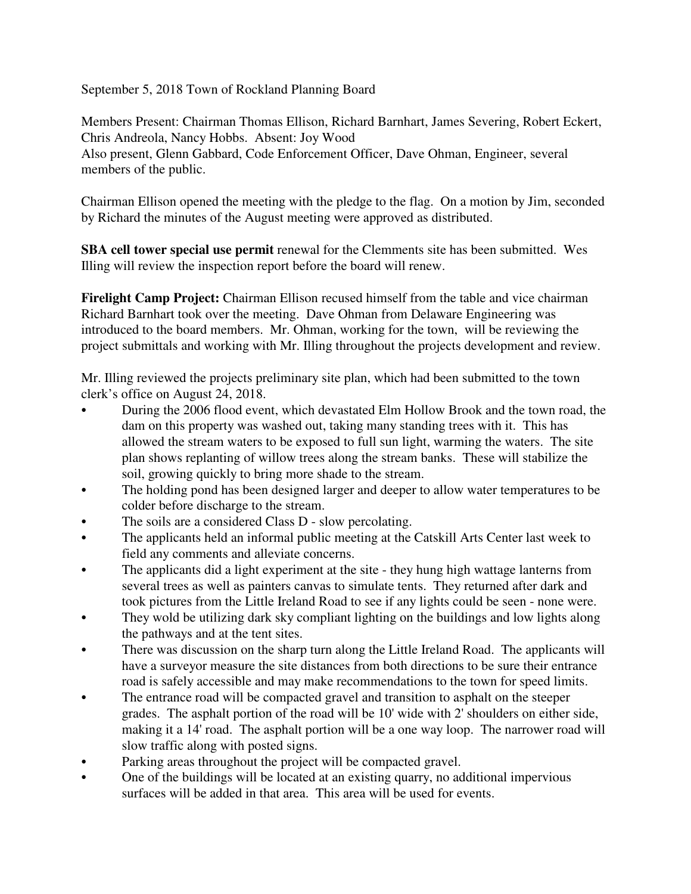September 5, 2018 Town of Rockland Planning Board

Members Present: Chairman Thomas Ellison, Richard Barnhart, James Severing, Robert Eckert, Chris Andreola, Nancy Hobbs. Absent: Joy Wood Also present, Glenn Gabbard, Code Enforcement Officer, Dave Ohman, Engineer, several members of the public.

Chairman Ellison opened the meeting with the pledge to the flag. On a motion by Jim, seconded by Richard the minutes of the August meeting were approved as distributed.

**SBA cell tower special use permit** renewal for the Clemments site has been submitted. Wes Illing will review the inspection report before the board will renew.

**Firelight Camp Project:** Chairman Ellison recused himself from the table and vice chairman Richard Barnhart took over the meeting. Dave Ohman from Delaware Engineering was introduced to the board members. Mr. Ohman, working for the town, will be reviewing the project submittals and working with Mr. Illing throughout the projects development and review.

Mr. Illing reviewed the projects preliminary site plan, which had been submitted to the town clerk's office on August 24, 2018.

- During the 2006 flood event, which devastated Elm Hollow Brook and the town road, the dam on this property was washed out, taking many standing trees with it. This has allowed the stream waters to be exposed to full sun light, warming the waters. The site plan shows replanting of willow trees along the stream banks. These will stabilize the soil, growing quickly to bring more shade to the stream.
- The holding pond has been designed larger and deeper to allow water temperatures to be colder before discharge to the stream.
- The soils are a considered Class D slow percolating.
- The applicants held an informal public meeting at the Catskill Arts Center last week to field any comments and alleviate concerns.
- The applicants did a light experiment at the site they hung high wattage lanterns from several trees as well as painters canvas to simulate tents. They returned after dark and took pictures from the Little Ireland Road to see if any lights could be seen - none were.
- They wold be utilizing dark sky compliant lighting on the buildings and low lights along the pathways and at the tent sites.
- There was discussion on the sharp turn along the Little Ireland Road. The applicants will have a surveyor measure the site distances from both directions to be sure their entrance road is safely accessible and may make recommendations to the town for speed limits.
- The entrance road will be compacted gravel and transition to asphalt on the steeper grades. The asphalt portion of the road will be 10' wide with 2' shoulders on either side, making it a 14' road. The asphalt portion will be a one way loop. The narrower road will slow traffic along with posted signs.
- Parking areas throughout the project will be compacted gravel.
- C One of the buildings will be located at an existing quarry, no additional impervious surfaces will be added in that area. This area will be used for events.